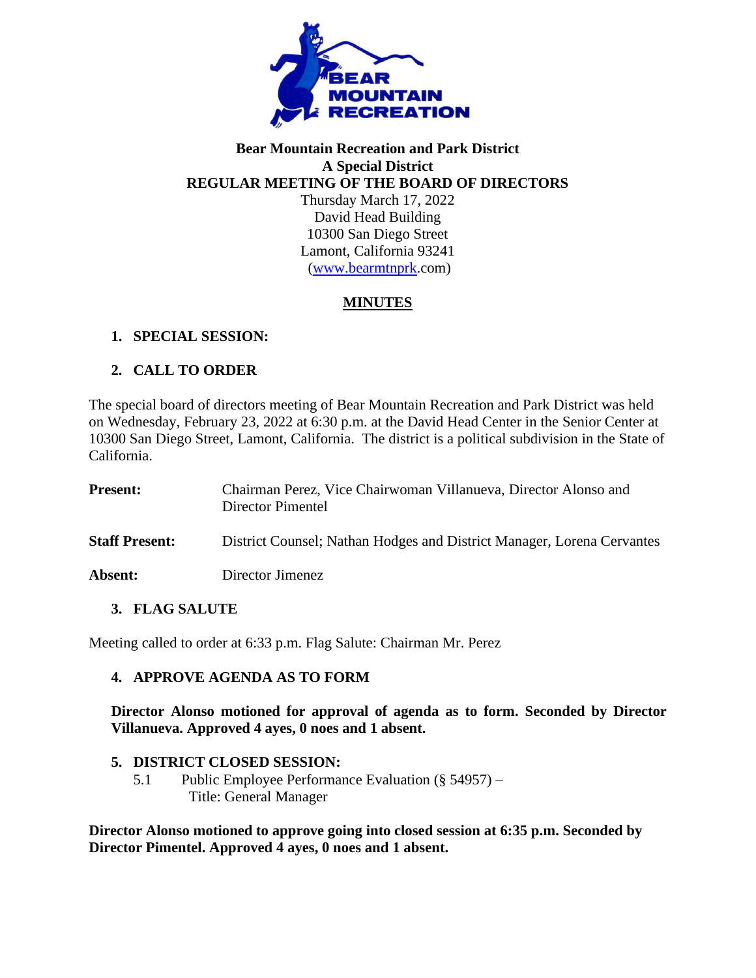

#### **Bear Mountain Recreation and Park District A Special District REGULAR MEETING OF THE BOARD OF DIRECTORS**

Thursday March 17, 2022 David Head Building 10300 San Diego Street Lamont, California 93241 [\(www.bearmtnprk.](http://www.bearmtnprk/)com)

# **MINUTES**

# **1. SPECIAL SESSION:**

# **2. CALL TO ORDER**

The special board of directors meeting of Bear Mountain Recreation and Park District was held on Wednesday, February 23, 2022 at 6:30 p.m. at the David Head Center in the Senior Center at 10300 San Diego Street, Lamont, California. The district is a political subdivision in the State of California.

| <b>Present:</b>       | Chairman Perez, Vice Chairwoman Villanueva, Director Alonso and<br>Director Pimentel |
|-----------------------|--------------------------------------------------------------------------------------|
| <b>Staff Present:</b> | District Counsel; Nathan Hodges and District Manager, Lorena Cervantes               |
| Absent:               | Director Jimenez                                                                     |

### **3. FLAG SALUTE**

Meeting called to order at 6:33 p.m. Flag Salute: Chairman Mr. Perez

### **4. APPROVE AGENDA AS TO FORM**

**Director Alonso motioned for approval of agenda as to form. Seconded by Director Villanueva. Approved 4 ayes, 0 noes and 1 absent.**

### **5. DISTRICT CLOSED SESSION:**

5.1 Public Employee Performance Evaluation (§ 54957) – Title: General Manager

**Director Alonso motioned to approve going into closed session at 6:35 p.m. Seconded by Director Pimentel. Approved 4 ayes, 0 noes and 1 absent.**